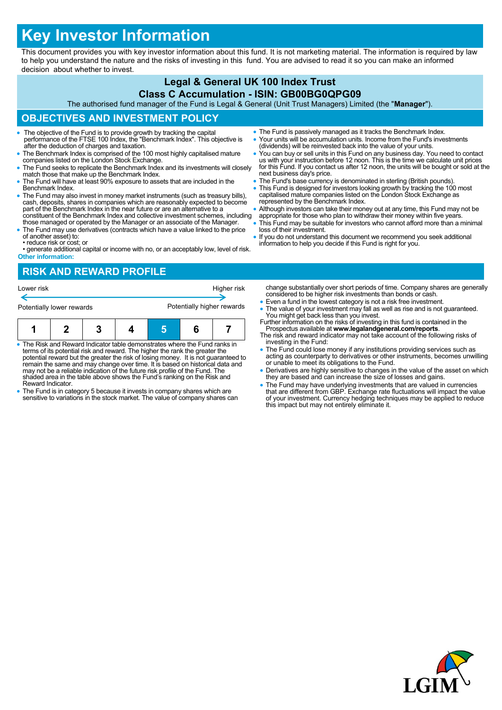# **Key Investor Information**

This document provides you with key investor information about this fund. It is not marketing material. The information is required by law to help you understand the nature and the risks of investing in this fund. You are advised to read it so you can make an informed decision about whether to invest.

#### **Legal & General UK 100 Index Trust Class C Accumulation - ISIN: GB00BG0QPG09**

The authorised fund manager of the Fund is Legal & General (Unit Trust Managers) Limited (the "**Manager**").

## **OBJECTIVES AND INVESTMENT POLICY**

- The objective of the Fund is to provide growth by tracking the capital performance of the FTSE 100 Index, the "Benchmark Index". This objective is after the deduction of charges and taxation.
- The Benchmark Index is comprised of the 100 most highly capitalised mature companies listed on the London Stock Exchange.
- The Fund seeks to replicate the Benchmark Index and its investments will closely match those that make up the Benchmark Index.
- The Fund will have at least 90% exposure to assets that are included in the Benchmark Index.
- The Fund may also invest in money market instruments (such as treasury bills), cash, deposits, shares in companies which are reasonably expected to become part of the Benchmark Index in the near future or are an alternative to a constituent of the Benchmark Index and collective investment schemes, including
- those managed or operated by the Manager or an associate of the Manager. The Fund may use derivatives (contracts which have a value linked to the price
- of another asset) to: • reduce risk or cost; or
- generate additional capital or income with no, or an acceptably low, level of risk. **Other information:**

### **RISK AND REWARD PROFILE**

- Lower risk **Higher risk** Higher risk **Higher risk** Potentially lower rewards **Potentially higher rewards 1 2 3 4 5 6 7**
- The Risk and Reward Indicator table demonstrates where the Fund ranks in terms of its potential risk and reward. The higher the rank the greater the potential reward but the greater the risk of losing money. It is not guaranteed to remain the same and may change over time. It is based on historical data and may not be a reliable indication of the future risk profile of the Fund. The shaded area in the table above shows the Fund's ranking on the Risk and Reward Indicator.
- The Fund is in category 5 because it invests in company shares which are sensitive to variations in the stock market. The value of company shares can
- The Fund is passively managed as it tracks the Benchmark Index. Your units will be accumulation units. Income from the Fund's investments
- (dividends) will be reinvested back into the value of your units. You can buy or sell units in this Fund on any business day. You need to contact us with your instruction before 12 noon. This is the time we calculate unit prices for this Fund. If you contact us after 12 noon, the units will be bought or sold at the
- next business day's price. • The Fund's base currency is denominated in sterling (British pounds).
- This Fund is designed for investors looking growth by tracking the 100 most capitalised mature companies listed on the London Stock Exchange as represented by the Benchmark Index.
- Although investors can take their money out at any time, this Fund may not be
- appropriate for those who plan to withdraw their money within five years. This Fund may be suitable for investors who cannot afford more than a minimal loss of their investment.
- If you do not understand this document we recommend you seek additional information to help you decide if this Fund is right for you.

change substantially over short periods of time. Company shares are generally considered to be higher risk investments than bonds or cash.

- Even a fund in the lowest category is not a risk free investment.
- The value of your investment may fall as well as rise and is not guaranteed. You might get back less than you invest. Further information on the risks of investing in this fund is contained in the
- Prospectus available at **www.legalandgeneral.com/reports**. The risk and reward indicator may not take account of the following risks of investing in the Fund:
- The Fund could lose money if any institutions providing services such as acting as counterparty to derivatives or other instruments, becomes unwilling or unable to meet its obligations to the Fund.
- Derivatives are highly sensitive to changes in the value of the asset on which they are based and can increase the size of losses and gains.
- The Fund may have underlying investments that are valued in currencies<br>that are different from GBP. Exchange rate fluctuations will impact the value<br>of your investment. Currency hedging techniques may be applied to reduc